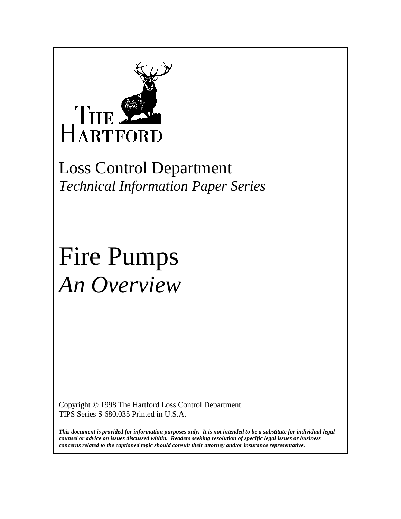

Loss Control Department *Technical Information Paper Series*

# Fire Pumps *An Overview*

Copyright © 1998 The Hartford Loss Control Department TIPS Series S 680.035 Printed in U.S.A.

*This document is provided for information purposes only. It is not intended to be a substitute for individual legal counsel or advice on issues discussed within. Readers seeking resolution of specific legal issues or business concerns related to the captioned topic should consult their attorney and/or insurance representative.*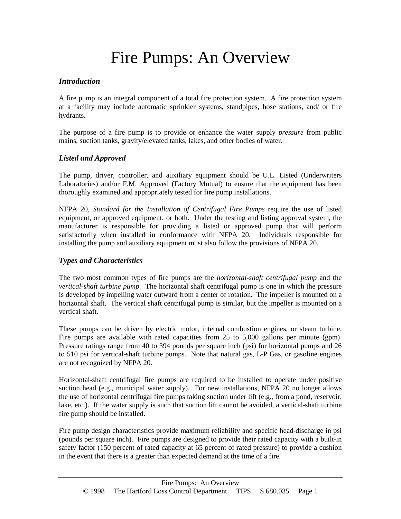# Fire Pumps: An Overview

#### *Introduction*

A fire pump is an integral component of a total fire protection system. A fire protection system at a facility may include automatic sprinkler systems, standpipes, hose stations, and/ or fire hydrants.

The purpose of a fire pump is to provide or enhance the water supply *pressure* from public mains, suction tanks, gravity/elevated tanks, lakes, and other bodies of water.

#### *Listed and Approved*

The pump, driver, controller, and auxiliary equipment should be U.L. Listed (Underwriters Laboratories) and/or F.M. Approved (Factory Mutual) to ensure that the equipment has been thoroughly examined and appropriately tested for fire pump installations.

NFPA 20, *Standard for the Installation of Centrifugal Fire Pumps* require the use of listed equipment, or approved equipment, or both. Under the testing and listing approval system, the manufacturer is responsible for providing a listed or approved pump that will perform satisfactorily when installed in conformance with NFPA 20. Individuals responsible for installing the pump and auxiliary equipment must also follow the provisions of NFPA 20.

### *Types and Characteristics*

The two most common types of fire pumps are the *horizontal-shaft centrifugal pump* and the *vertical-shaft turbine pump*. The horizontal shaft centrifugal pump is one in which the pressure is developed by impelling water outward from a center of rotation. The impeller is mounted on a horizontal shaft. The vertical shaft centrifugal pump is similar, but the impeller is mounted on a vertical shaft.

These pumps can be driven by electric motor, internal combustion engines, or steam turbine. Fire pumps are available with rated capacities from 25 to 5,000 gallons per minute (gpm). Pressure ratings range from 40 to 394 pounds per square inch (psi) for horizontal pumps and 26 to 510 psi for vertical-shaft turbine pumps. Note that natural gas, L-P Gas, or gasoline engines are not recognized by NFPA 20.

Horizontal-shaft centrifugal fire pumps are required to be installed to operate under positive suction head (e.g., municipal water supply). For new installations, NFPA 20 no longer allows the use of horizontal centrifugal fire pumps taking suction under lift (e.g., from a pond, reservoir, lake, etc.). If the water supply is such that suction lift cannot be avoided, a vertical-shaft turbine fire pump should be installed.

Fire pump design characteristics provide maximum reliability and specific head-discharge in psi (pounds per square inch). Fire pumps are designed to provide their rated capacity with a built-in safety factor (150 percent of rated capacity at 65 percent of rated pressure) to provide a cushion in the event that there is a greater than expected demand at the time of a fire.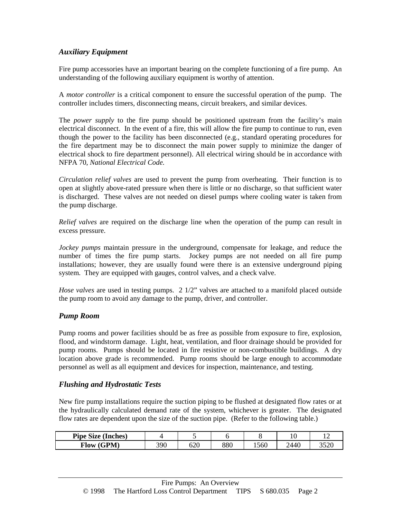# *Auxiliary Equipment*

Fire pump accessories have an important bearing on the complete functioning of a fire pump. An understanding of the following auxiliary equipment is worthy of attention.

A *motor controller* is a critical component to ensure the successful operation of the pump. The controller includes timers, disconnecting means, circuit breakers, and similar devices.

The *power supply* to the fire pump should be positioned upstream from the facility's main electrical disconnect. In the event of a fire, this will allow the fire pump to continue to run, even though the power to the facility has been disconnected (e.g., standard operating procedures for the fire department may be to disconnect the main power supply to minimize the danger of electrical shock to fire department personnel). All electrical wiring should be in accordance with NFPA 70, *National Electrical Code.*

*Circulation relief valves* are used to prevent the pump from overheating. Their function is to open at slightly above-rated pressure when there is little or no discharge, so that sufficient water is discharged. These valves are not needed on diesel pumps where cooling water is taken from the pump discharge.

*Relief valves* are required on the discharge line when the operation of the pump can result in excess pressure.

*Jockey pumps* maintain pressure in the underground, compensate for leakage, and reduce the number of times the fire pump starts. Jockey pumps are not needed on all fire pump installations; however, they are usually found were there is an extensive underground piping system. They are equipped with gauges, control valves, and a check valve.

*Hose valves* are used in testing pumps. 2 1/2" valves are attached to a manifold placed outside the pump room to avoid any damage to the pump, driver, and controller.

#### *Pump Room*

Pump rooms and power facilities should be as free as possible from exposure to fire, explosion, flood, and windstorm damage. Light, heat, ventilation, and floor drainage should be provided for pump rooms. Pumps should be located in fire resistive or non-combustible buildings. A dry location above grade is recommended. Pump rooms should be large enough to accommodate personnel as well as all equipment and devices for inspection, maintenance, and testing.

#### *Flushing and Hydrostatic Tests*

New fire pump installations require the suction piping to be flushed at designated flow rates or at the hydraulically calculated demand rate of the system, whichever is greater. The designated flow rates are dependent upon the size of the suction pipe. (Refer to the following table.)

| <b>Pipe Size (Inches)</b> |     |     |     |      | ۰.   | . .           |
|---------------------------|-----|-----|-----|------|------|---------------|
| Flow (GPM)                | 390 | 620 | 880 | 560ء | 2440 | າ ເາດ<br>33∠U |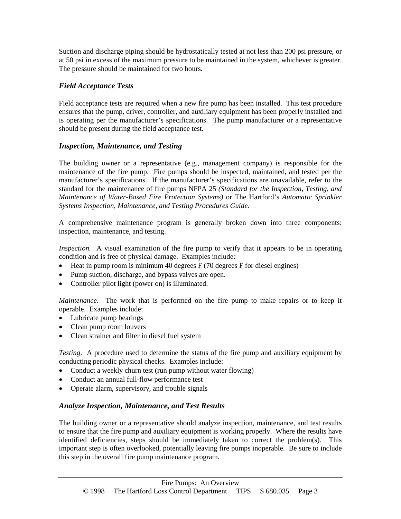Suction and discharge piping should be hydrostatically tested at not less than 200 psi pressure, or at 50 psi in excess of the maximum pressure to be maintained in the system, whichever is greater. The pressure should be maintained for two hours.

### *Field Acceptance Tests*

Field acceptance tests are required when a new fire pump has been installed. This test procedure ensures that the pump, driver, controller, and auxiliary equipment has been properly installed and is operating per the manufacturer's specifications. The pump manufacturer or a representative should be present during the field acceptance test.

## *Inspection, Maintenance, and Testing*

The building owner or a representative (e.g., management company) is responsible for the maintenance of the fire pump. Fire pumps should be inspected, maintained, and tested per the manufacturer's specifications. If the manufacturer's specifications are unavailable, refer to the standard for the maintenance of fire pumps NFPA 25 *(Standard for the Inspection, Testing, and Maintenance of Water-Based Fire Protection Systems)* or The Hartford's *Automatic Sprinkler Systems Inspection, Maintenance, and Testing Procedures Guide.*

A comprehensive maintenance program is generally broken down into three components: inspection, maintenance, and testing.

*Inspection.* A visual examination of the fire pump to verify that it appears to be in operating condition and is free of physical damage. Examples include:

- Heat in pump room is minimum 40 degrees  $F(70$  degrees  $F$  for diesel engines)
- Pump suction, discharge, and bypass valves are open.
- Controller pilot light (power on) is illuminated.

*Maintenance*. The work that is performed on the fire pump to make repairs or to keep it operable. Examples include:

- Lubricate pump bearings
- Clean pump room louvers
- Clean strainer and filter in diesel fuel system

*Testing*. A procedure used to determine the status of the fire pump and auxiliary equipment by conducting periodic physical checks. Examples include:

- Conduct a weekly churn test (run pump without water flowing)
- Conduct an annual full-flow performance test
- Operate alarm, supervisory, and trouble signals

#### *Analyze Inspection, Maintenance, and Test Results*

The building owner or a representative should analyze inspection, maintenance, and test results to ensure that the fire pump and auxiliary equipment is working properly. Where the results have identified deficiencies, steps should be immediately taken to correct the problem(s). This important step is often overlooked, potentially leaving fire pumps inoperable. Be sure to include this step in the overall fire pump maintenance program.